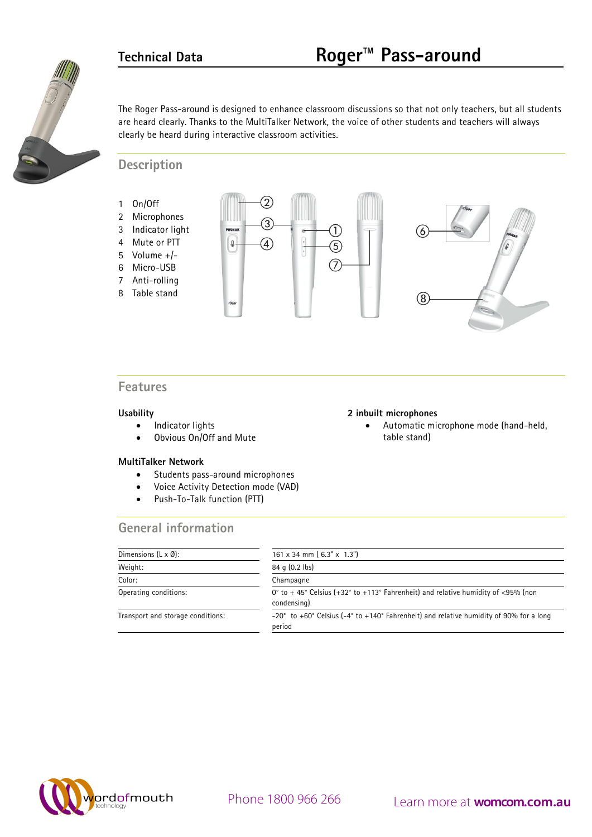

**2 inbuilt microphones** 

table stand)

The Roger Pass-around is designed to enhance classroom discussions so that not only teachers, but all students are heard clearly. Thanks to the MultiTalker Network, the voice of other students and teachers will always clearly be heard during interactive classroom activities.

### **Description**

- 1 On/Off
- 2 Microphones
- 3 Indicator light
- 4 Mute or PTT
- 5 Volume +/-
- 6 Micro-USB
- 7 Anti-rolling
- 8 Table stand





• Automatic microphone mode (hand-held,

## **Features**

#### **Usability**

- Indicator lights
- Obvious On/Off and Mute

#### **MultiTalker Network**

- Students pass-around microphones
- Voice Activity Detection mode (VAD)
- Push-To-Talk function (PTT)

## **General information**

| Dimensions $(L \times \emptyset)$ : | $161 \times 34$ mm $(6.3" \times 1.3")$                                                          |
|-------------------------------------|--------------------------------------------------------------------------------------------------|
| Weight:                             | 84 q (0.2 lbs)                                                                                   |
| Color:                              | Champagne                                                                                        |
| Operating conditions:               | 0° to +45° Celsius (+32° to +113° Fahrenheit) and relative humidity of <95% (non<br>condensing)  |
| Transport and storage conditions:   | -20° to +60° Celsius (-4° to +140° Fahrenheit) and relative humidity of 90% for a long<br>period |